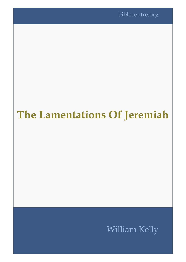biblecentre.org

# **The Lamentations Of Jeremiah**

## William Kelly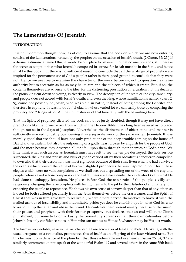### **The Lamentations Of Jeremiah**

#### **INTRODUCTION**

It is no uncommon thought now, as of old, to assume that the book on which we are now entering consists of the Lamentations written by the prophet on the occasion of Josiah's death. (2 Chron. 35: 25.) If a divine testimony affirmed this, it would be our place to believe it: to that no one pretends, still there is the secret assumption that what Jeremiah composed in sorrow for Josiah must be in the Bible, and hence must be this book. But there is no sufficient reason to conclude that all the writings of prophets were inspired for the permanent use of God's people: rather is there good ground to conclude that they were not. Hence we are free to examine the character of the work before us, not to question its divine authority but to ascertain as far as may be its aim and the subjects of which it treats. But, if so, the contents themselves are adverse to the idea; for the distressing prostration of Jerusalem, not the death of the pious king cut down so young, is clearly in view. The description of the state of the city, sanctuary, and people does not accord with Josiah's death; and even the king, whose humiliation is named (Lam. 2: 9), could not possibly be Josiah, who was slain in battle, instead of being among the Gentiles and therefore in captivity. It was no doubt Jehoiachin whose varied lot we can easily trace by comparing the prophecy and 2 Kings 24, 25. All the circumstances of that time tally with the bewailings here.

That the Spirit of prophecy dictated the book cannot be justly doubted, though it may not have direct predictions like the former work from which in the Hebrew Bible it has long been severed as to place, though not so in the days of Josephus. Nevertheless the distinctness of object, tone, and manner is sufficiently marked to justify our viewing it as a separate work of the same writer, Jeremiah. It was morally good that we should have not only predictions of the deep trouble coming on the house of David and Jerusalem, but also the outpouring of a godly heart broken by anguish for the people of God, and the more because they deserved all that fell upon them through their enemies at God's hand. We little think what such an one as Jeremiah must have felt to see the temple destroyed, the holy service suspended, the king and priests and bulk of Judah carried off by their idolatrous conqueror, compelled to own also that their desolation was most righteous because of their sins. Even when he had survived the events which proved the value of his own slighted prophecies, he was inspired to pour forth these elegies which were no vain complaints as we shall see, but a spreading out of the woes of the city and people before a God whose compassion and faithfulness are alike infinite. He vindicates God in what He had done to unhappy Jerusalem. He places before God the utter ruin of the people, civilly and religiously, charging the false prophets with luring them into the pit by their falsehood and flattery, but exhorting the people to repentance. He shows his own sense of sorrow deeper than that of any other, as indeed he both suffered peculiarly from the Jews themselves before the crash came, and the Spirit of Christ that was in him gave him to realize all, where others nerved themselves to brave it with the mailed armour of insensibility and indomitable pride; yet does he cherish hope in what God is, who loves to lift up the fallen and abase the proud. He contrasts their present misery, because of the sins of their priests and prophets, with their former prosperity, but declares that an end will be to Zion's punishment, but none to Edom's. Lastly, he prayerfully spreads out all their own calamities before Jehovah; his only confidence too is in Him who can turn us to Himself, whatever may be His just wrath.

The form is very notable; save in the last chapter, all are acrostic or at least alphabetic. De Wette, with the usual arrogance of a rationalist, pronounces this of itself as an offspring of the later vitiated taste. But this he must do in defiance of the plain fact that those admirable and even early Psalms 25, 34, 37 are similarly constructed, not to speak of the wonderful Psalm 119 and several others in the same fifth book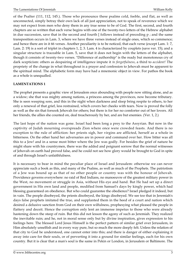of the Psalter (111, 112, 145.). Those who pronounce these psalms cold, feeble, and flat, as well as unconnected, simply betray their own lack of all just appreciation, not to speak of reverence which we may not expect from men who deny them in any true sense to be of God. The first, second, and fourth chapters are so written that each verse begins with one of the twenty-two letters of the Hebrew alphabet in due succession, save that in the second and fourth  $\lceil$  follows instead of preceding  $p$ ; and the same transposition occurs in Lam. 3, where we have three verses instead of single ones, which so commence; and hence there are in it 66 verses. Another peculiarity is to be noticed, that each verse (except Lam. 1: 7, Lam. 2: 19) is a sort of triplet in chapters 1, 2, 3. Lam. 4 is characterized by couplets (save ver. 15); and a singular structure is traceable in Lam. 5, save that it does not begin with the letters of the alphabet, though it consists of twenty-two verses. "Difference of authorship" is the ready but monotonous cry of dark scepticism: others as despairing of intelligence impute it *to forgetfulness*, a third to *accident!* The propriety of the change in what throughout is a prayer and confession to Jehovah must be apparent to the spiritual mind. The alphabetic form may have had a mnemonic object in view. For pathos the book as a whole is unequalled.

#### **LAMENTATIONS 1**

The prophet presents a graphic view of Jerusalem once abounding with people now sitting alone, and as a widow; she that was mighty among nations, a princess among the provinces, now become tributary. She is seen weeping sore, and this in the night when darkness and sleep bring respite to others, to her only a renewal of that grief, less restrained, which covers her cheeks with tears. Now is proved the folly as well as the sin that forsook Jehovah for others; but there is for her no comforter out of her lovers. All her friends, the allies she counted on, deal treacherously by her, and are but enemies. (Ver. 1, 2.)

The last hope of the nation was gone. Israel had been long a prey to the Assyrian. But now in the captivity of Judah mourning overspreads Zion where once were crowded feasts. And there is no exception to the rule of affliction: her priests sigh, her virgins are afflicted, herself as a whole in bitterness. On the other hand her adversaries are in power and command over her. How bitter was all this to a Jew! and in a sense most bitter where the Jew was godly. For besides the grief of nature he might share with his countrymen, there was the added and poignant sorrow that the normal witnesses of Jehovah on earth had proved false, and he could not see how glory would be brought to God in spite of and through Israel's unfaithfulness.

It is necessary to bear in mind the peculiar place of Israel and Jerusalem: otherwise we can never appreciate such a book as this, and many of the Psalms, as well as much of the Prophets. The patriotism of a Jew was bound up as that of no other people or country was with the honour of Jehovah. Providence governs everywhere: no raid of Red Indians, no manoeuvre of the greatest military power in the West, no movement or struggle in Asia, without His eye and hand. But He had set up a direct government in His own land and people, modified from Samuel's days by kingly power, which had blessing guaranteed on obedience. But who could guarantee the obedience? Israel pledged it indeed, but in vain. The people disobeyed, the priests disobeyed, the kings disobeyed. We see too that in Jeremiah's days false prophets imitated the true, and supplanted them in the heed of a court and nation which desired a delusive sanction from God on their own wilfulness, prophesying what pleased the people in flattery and deceit. Hence the corruption only lent an immense impetus to those who were already hastening down the steep of ruin. But this did not lesson the agony of such as Jeremiah. They realized the inevitable ruin; and he, not in moral sense only but by divine inspiration, gives expression to his feelings here. The blessed Lord Jesus Himself is the perfect pattern of similar grief over Jerusalem, in Him absolutely unselfish and in every way pure, but so much the more deeply felt. Unless the relation of that city to God be understood, one cannot enter into this; and there is danger of either explaining it away into care for their souls, or of perverting it into a ground for similar feelings, each for his own country. But it is clear that a man's soul is the same in Pekin or London, in Jerusalem or Baltimore. The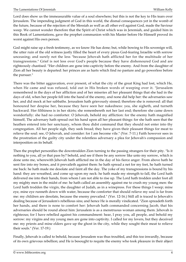Lord does show us the immeasurable value of a soul elsewhere; but this is not the key to His tears over Jerusalem. The impending judgment of God in this world, the dismal consequences yet in the womb of the future, because of the rejection of the Messiah as well as all other evil against God, made the Saviour weep. We cannot wonder therefore that the Spirit of Christ which was in Jeremiah, and guided him in this Book of Lamentations, gave the prophet communion with his Master before He Himself proved its worst against His own person.

God might raise up a fresh testimony, as we know He has done; but, while bowing to His sovereign will, the utter ruin of the old witness justly filled the heart of every pious God-fearing Israelite with sorrow unceasing; and surely not the less "because Jehovah hath afflicted her for the multitude of her transgressions." Grief is not less over God's people because they have dishonoured God and are righteously chastised. "Her children are gone into captivity before the enemy. And from the daughter of Zion all her beauty is departed: her princes are as harts which find no pasture and go powerless before the pursuer."

There was the bitter aggravation, ever present, of what the city of the great King had lost, which He, when He came and was refused, told out in His broken words of weeping over it. "Jerusalem remembered in the days of her affliction and of her miseries all her pleasant things that she had in the days of old, when her people fell into the hand of the enemy, and none did help her: the adversaries saw her, and did mock at her sabbaths. Jerusalem hath grievously sinned; therefore she is removed: all that honoured her despise her, because they have seen her nakedness: yea, she sigheth, and turneth backward. Her filthiness is in her skirts; she remembereth not her last end; therefore she came down wonderfully: she had no comforter. O Jehovah, behold my affliction: for the enemy hath magnified himself, The adversary hath spread out his hand upon all her pleasant things: for she hath seen that the heathen entered into her sanctuary, whom thou didst command that they should not enter into thy congregation. All her people sigh, they seek bread; they have given their pleasant things for meat to relieve the soul: see, O Jehovah, and consider: for I am become vile." (Ver. 7-11.) Faith however sees in the prostration of the guilty city under the relentless adversary a plea for Jehovah's compassion and interposition on its behalf.

Then the prophet personifies the downtrodden Zion turning to the passing strangers for their pity. "Is it nothing to you, all ye that pass by? behold, and see if there be any sorrow like unto my sorrow, which is done unto me, wherewith Jehovah hath afflicted me in the day of his fierce anger. From above hath he sent fire into my bones, and it prevaileth against them: he hath spread a net for my feet, he hath turned me back: he hath made me desolate and faint all the day. The yoke of my transgressions is bound by his hand: they are wreathed, and come up upon my neck: he hath made my strength to fall, the Lord hath delivered me into their hands, from whom I am not able to rise up. The Lord hath trodden under foot all my mighty men in the midst of me: he hath called an assembly against me to crush my young men: the Lord hath trodden the virgin, the daughter of Judah, as in a winepress. For these things I weep; mine eye, mine eye runneth down with water, because the comforter that should relieve my soul is far from me: my children are desolate, because the enemy prevailed." (Ver. 12-16.) Still all is traced to Jehovah's dealing because of Jerusalem's rebellious sins; and hence He is morally vindicated. "Zion spreadeth forth her hands, and there is none to comfort her: Jehovah hath commanded concerning Jacob, that his adversaries should be round about him: Jerusalem is as a menstruous woman among them. Jehovah is righteous; for I have rebelled against his commandment: hear, I pray you, all people, and behold my sorrow: my virgins and my young men are gone into captivity. I called for my lovers, but they deceived me: my priests and mine elders gave up the ghost in the city, while they sought their meat to relieve their souls." (Ver. 17-19.)

Finally, Jehovah is called to behold, because Jerusalem was thus troubled, and this too inwardly, because of its own grievous rebellion; and He is besought to requite the enemy who took pleasure in their abject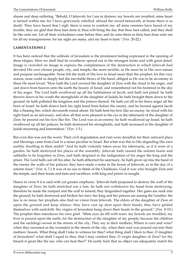shame and deep suffering. "Behold, O Jehovah; for I am in distress: my bowels are troubled; mine heart is turned within me; for I have grievously rebelled: abroad the sword bereaveth, at home there is as death. They have heard that I sigh: there is none to comfort me: all mine enemies have heard of my trouble, they are glad that thou hast done it; thou wilt bring the day that thou hast called, and they shall be like unto me. Let all their wickedness come before thee; and do unto them as thou hast done unto me for all my transgressions: for my sighs are many, and my heart is faint." (Ver. 20-22.)

#### **LAMENTATIONS 2**

It has been noticed that the solitude of Jerusalem is the prominent feeling expressed in the opening of these elegies. Here we shall find its overthrow spread out in the strongest terms and with great detail. Image is crowded on image to express the completeness of the destruction to which Jehovah had devoted His own chosen people, city, and temple; the more terrible, as He must be in His own nature and purpose unchangeable. None felt the truth of His love to Israel more than the prophet; for this very reason, none could so deeply feel the inevitable blows of His hand, obliged as He was to be an enemy to those He most loved. "How hath the Lord covered the daughter of Zion with the cloud in his anger, and cast down from heaven unto the earth the beauty of Israel, and remembered not his footstool in the day of his anger. The Lord hath swallowed up all the habitations of Jacob, and hath not pitied: he hath thrown down in his wrath the strongholds of the daughter of Judah; he hath brought them down to the ground: he hath polluted the kingdom and the princes thereof. He hath cut off in his fierce anger all the horn of Israel: he hath drawn back his right hand from before the enemy, and he burned against Jacob like a flaming fire, which devoureth round about. He hath bent his bow like an enemy: he stood with his right hand as an adversary, and slew all that were pleasant to the eye in the tabernacle of the daughter of Zion: he poured out his fury like fire. The Lord was as an enemy: he hath swallowed up Israel, he hath swallowed up all her palaces: he hath destroyed his strongholds, and hath increased in the daughter of Judah mourning and lamentation." (Ver. 1-5.)

But even this was not the worst. Their civil degradation and ruin were dreadful; for their outward place and blessings came from God in a sense peculiar to Israel. But what was this to His degrading His own earthly dwelling in their midst! "And he hath violently taken away his tabernacle, as if it were of a garden: he hath destroyed his places of the assembly. Jehovah hath caused the solemn feasts and sabbaths to be forgotten in Zion, and hath despised in the indignation of his anger the king and the priest. The Lord hath cast off his altar, he hath abhorred his sanctuary, he hath given up into the hand of the enemy the walls of her palaces; they have made a noise in the house of Jehovah, as in the day of a solemn feast." (Ver. 6, 7.) It was of no use to think of the Chaldeans. God it was who brought Zion and the temple, and their feasts and fasts and sacrifices, with king and priest, to nought.

Hence in verse 8 it is said with yet greater emphasis, "Jehovah hath purposed to destroy the wall of the daughter of Zion: he hath stretched out a line, he hath not withdrawn his hand from destroying: therefore he made the rampart and the wall to lament; they languished together. Her gates are sunk into the ground; he hath destroyed and broken her bars: her king and her princes are among the Gentiles: the law is no more; her prophets also find no vision from Jehovah. The elders of the daughter of Zion sit upon the ground and keep silence: they have cast up dust upon their heads; they have girded themselves with sackcloth: the virgins of Jerusalem hang down their heads to the ground." (Ver. 8-10.) The prophet then introduces his own grief. "Mine eyes do fill with tears, my bowels are troubled, my liver is poured upon the earth, for the destruction of the daughter of my people; because the children and the sucklings swoon in the streets of the city. They say to their mothers, Where is corn and wine? when they swooned as the wounded in the streets of the city, when their soul was poured out into their mothers' bosom. What thing shall I take to witness for thee? what thing shall I liken to thee, O daughter of Jerusalem? what shall I equal to thee, that I may comfort thee, O virgin daughter of Zion? for thy breach is great like the sea: who can heal thee?" He justly feels that no object can adequately match the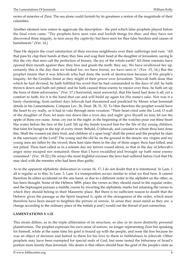series of miseries of Zion. The sea alone could furnish by its greatness a notion of the magnitude of their calamities.

Another element now enters to aggravate the description - the part which false prophets played before the final crisis came. "Thy prophets have seen vain and foolish things for thee: and they have not discovered thine iniquity, to turn away thy captivity; but have seen for thee false burdens and causes of banishment." (Ver. 14.)

Then He depicts the cruel satisfaction of their envious neighbours over their sufferings and ruin. "All that pass by clap their hands at thee; they hiss and wag their head at the daughter of Jerusalem, saying Is this the city that men call the perfection of beauty, the joy of the whole earth? All thine enemies have opened their mouth against thee: they hiss and gnash the teeth: they say, We have swallowed her up. certainly this is the day that we looked for; we have found, we have seen it." (Ver. 15, 16,) But the prophet insists that it was Jehovah who had done the work of destruction because of His people's iniquity, let the Gentiles boast as they might of their power over Jerusalem. "Jehovah hath done that which he had devised; he hath fulfilled his word that he had commanded in the days of old: he hath thrown down and hath not pitied: and he hath caused thine enemy to rejoice over thee, he hath set up the horn of thine adversaries." (Ver. 17.) Sorrowful, most sorrowful, that His hand had done it all; yet a comfort to faith, for it is the hand that can and will build up again for His name's sake. Nor was it a hasty chastening; from earliest days Jehovah had threatened and predicted by Moses what Jeremiah details in his Lamentations. Compare Lev. 26, Deut. 28, 31, 32. To Him therefore the prophet would have the heart to cry really, as it had in vain through mere vexation. "Their heart cried unto the Lord, O wall of the daughter of Zion, let tears run down like a river day and night: give thyself no rest; let not the apple of thine eye cease. Arise, cry out in the night: in the beginning of the watches pour out thine heart like water before the face of the Lord: lift up thy hands toward him for the life of thy young children, that faint for hunger in the top of every street. Behold, O Jehovah, and consider to whom thou hast done this. Shall the women eat their fruit, and children of a span long? shall the priest and the prophet be slain in the sanctuary of the Lord? The young and the old lie on the ground in the streets: my virgins and my young men are fallen by the sword; thou hast slain them in the day of thine anger; thou hast killed, and not pitied. Thou hast called as in a solemn day my terrors round about, so that in the day of Jehovah's anger none escaped nor remained: those that I have swaddled and brought up hath mine enemy consumed." (Ver. 18-22.) He arrays the most frightful excesses the Jews had suffered before God that He may deal with the enemies who had been thus guilty.

As to the apparent alphabetic dislocation in verses 16, 17, I do not doubt that it is intentional. In Lam. 1 all is regular as to this. In Lam. 3, Lam. 4 a transposition occurs similar to what we find here. It cannot therefore be either accidental on the one hand, or due to a different order in the alphabet on the other, as has been thought. Some of the Hebrew MSS. place the verses as they should stand in the regular order, and the Septuagint pursues a middle course by inverting the alphabetic marks but retaining the verses to which they should belong in their Masoretic place. But there is no sufficient reason to doubt that the Hebrew gives the passage as the Spirit inspired it, spite of the strangeness of the order, which must therefore have been meant to heighten the picture of sorrow. In sense they must stand as they are. a change according to the ordinary place of the initials p and [ would out the thread of just connection.

#### **LAMENTATIONS 3: 1-21**

This strain differs, as in the triple alliteration of its structure, so also in its more distinctly personal plaintiveness. The prophet expresses his own sense of sorrow, no longer representing Zion but speaking for himself, while at the same time his grief is bound up with the people, and none the less because he was an object of derision and hatred to them for his love to them in faithfulness to Jehovah. Other prophets may have been exempted for special ends of God, but none tasted the bitterness of Israel's portion more keenly than Jeremiah. His desire is that others should bear the grief of the people's state as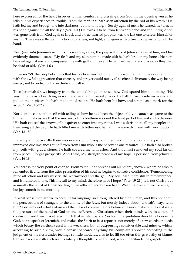here expressed for the heart in order to final comfort and blessing from God. In the opening verses he tells out his experiences in trouble. "I am the man that hath seen affliction by the rod of his wrath." He hath led me and brought me into darkness, but not into light. Surely against me is he turned; he turneth his hand against me all the day." (Ver. 1-3.) He owns it to be from Jehovah's hand and rod. Indignation was gone forth from God against Israel, and a true-hearted prophet was the last one to screen himself or wish it. There was affliction; this too in darkness, not light; and again with oft-recurring visitation of His hand.

Next (ver. 4-6) Jeremiah recounts his wearing away; the preparations of Jehovah against him; and his evidently doomed estate. "My flesh and my skin hath he made old; he hath broken my bones. He hath builded against me, and compassed me with gall and travel. He hath set me in dark places, as they that be dead of old," (Ver. 4-6.)

In verses 7-9, the prophet shows that his portion was not only in imprisonment with heavy chain, but with the awful aggravation that entreaty and prayer could not avail to effect deliverance, the way being fenced, not to protect but to exclude and baffle.

Then Jeremiah draws imagery from the animal kingdom to tell how God spared him in nothing. "He was unto me as a bear lying in wait, and as a lion in secret places. He hath turned aside my ways, and pulled me in pieces: he hath made me desolate. He hath bent his bow, and set me as a mark for the arrow." (Ver. 10-12.)

Nor does he content himself with telling us how he had been the object of divine attack, as game to the hunter, but lets us see that the mockery of his brethren was not the least part of his trial and bitterness. "He hath caused the arrows of his quiver to enter into my reins. I was a derision to all my people; and their song all the day. He hath filled me with bitterness, he hath made me drunken with wormwood." (Ver. 13-15.)

Inwardly and outwardly there was every sign of disappointment and humiliation; and expectation of improved circumstances cut off even from Him who is the believer's one resource. "He hath also broken my teeth with gravel stones, he hath covered me with ashes. And thou hast removed my soul far off from peace: I forgat prosperity. And I said, My strength peace and my hope is perished from Jehovah. (Ver. 16-18.)

Yet there is the very point of change. From verse 19 he spreads out all before Jehovah, whom he asks to remember it; and from the utter prostration of his soul he begins to conceive confidence. "Remembering mine affliction and my misery, the wormwood and the gall. My soul hath them still in remembrance, and is humbled in me. This I recall to my mind, therefore have I hope." (Ver. 19-21.) It is not Christ, but assuredly the Spirit of Christ leading on an afflicted and broken heart. Weeping may endure for a night; but joy cometh in the morning.

In what sense then are we to account for language so strong uttered by a holy man, and this not about the persecutions of strangers or the enmity of the Jews, but mostly indeed about Jehovah's ways with him? Certainly not what Calvin and the mass of commentators before and since make of it, as if it were the pressure of the hand of God on the sufferers as Christians when their minds were in a state of confusion, and their lips uttered much that is intemperate. Such an interpretation does little honour to God, not to speak of Jeremiah, and makes the Spirit to be a reporter, not merely of a few words or deeds which betray the earthen vessel in its weakness, but of outpourings considerable and minute, which, according to such a view, would consist of scarce anything but complaints spoken according to the judgment of the flesh under feelings so little moderated as to let fill too often things worthy of blame. Can such a view with such results satisfy a thoughtful child of God, who understands the gospel?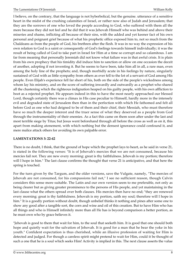I believe, on the contrary, that the language is not hyberbolical, but the genuine. utterance of a sensitive heart in the midst of the crushing calamities of Israel, or rather now also of Judah and Jerusalem; that they are the sorrows of one who loved the people according to God, who suffered with them all the more because they did not feel and he did that it was Jehovah Himself who was behind and above their miseries and shame, inflicting all because of their sins, with the added and yet keener fact of his own personal and poignant grief because of what his prophetic office exposed him to, not so much from the Chaldeans as from the people of God, his brethren after the flesh. It was in no way the expression of his own relation to God is a saint or consequently of God's feelings towards himself individually; it was the result of being called of God to take part in Israel for Him at a time so corrupt and so calamitous. I am far from meaning that personally Jeremiah did not know what failure was in that awful crisis. It is plain from his own prophecy that his timidity did induce him to sanction or allow on one occasion the deceit of another, adopting if not inventing it. But he seems to have been, take him all in all, a rare man, even among the holy line of the prophets; and, though morbidly acute in his feelings by nature, singularly sustained of God with as little sympathy from others as ever fell to the lot of a servant of God among His people. Even Elijah's experience fell far short of his, both on the side of the people's wickedness among whom lay his ministry, and on the score of suffering inwardly and outwardly as a prophet who shared all the chastening which the righteous indignation heaped on his guilty people, with his own affliction to boot as a rejected prophet. He appears indeed in this to have the most nearly approached our blessed Lord, though certainly there was a climax in His case peculiar to Himself, hardly more in the intensely evil and degraded state of Jerusalem then than in the perfection with which He fathomed and felt all before God as one who had deigned to be of them and their chief, their Messiah, who must therefore have so much the deeper interest and the truer sense of what they deserved as a people from God through the instrumentality of their enemies. As a fact this came on them soon after under the last and most terrible siege by Titus; but Jesus went beforehand through all before the cross as well as on it, this apart from making atonement, with which nothing but the densest ignorance could confound it, and mere malice attack others for avoiding its own palpable error.

#### **LAMENTATIONS 3: 22-42**

There is no doubt, I think, that the ground of hope which the prophet lays to heart, as he said in verse 21, is stated in the following verses: "It is of Jehovah's mercies that we are not consumed, because his mercies fail not. They are new every morning: great is thy faithfulness. Jehovah is my portion; therefore will I hope in him." The last clause confirms the thought that verse 21 is anticipative, and that here the spring is touched.

For the turn given by the Targum, and the older versions, save the Vulgate, namely, "The mercies of Jehovah are not consumed, for his compassions fail not," I see no sufficient reason, though Calvin considers this sense more suitable. The Latin and our own version seem to me preferable, not only as being clearer but as giving greater prominence to the persons of His people, and yet maintaining in the last clause what the others spread over both clauses. His mercies then have no end; "they are renewed every morning: great is thy faithfulness. Jehovah is my portion, saith my soul; therefore will I hope in him." It is a goodly portion without doubt, though unbelief thinks it nothing and pines after some one to show any good after a tangible sort, the corn and wine and oil of this creation. But to have Him who has all things and who is Himself infinitely more than all He has is beyond comparison a better portion, as he must own who by grace believes it.

"Jehovah is good to them that wait for him, to the soul that seeketh him. It is good that one should both hope and quietly wait for the salvation of Jehovah. It is good for a man that he bear the yoke in his youth." Confident expectation is thus cherished, while an illusive profession of waiting for Him is detected and judged. For though a careless spirit might pretend to wait for Him, could it be thought of such a one that he is a soul which seeks Him! Activity is implied in this. The next clause asserts the value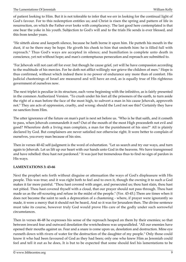of patient looking to Him. But it is not tolerable to infer that we err in looking for the continual light of God's favour. For to this redemption entitles us; and Christ is risen the spring and pattern of life in resurrection, on which the Father ever looks with complacency. The last good here contemplated is that one bear the yoke in his youth. Subjection to God's will and to the trials He sends is ever blessed, and this from tender years.

"He sitteth alone and keepeth silence, because he hath borne it upon him. He putteth his mouth in the dust, if so be there may be hope. He giveth his cheek to him that smiteth him: he is filled full with reproach." Thus God's ways are accepted in silence; and humiliation is complete unto death in conscience, yet not without hope; and man's contemptuous persecution and reproach are submitted to.

"For Jehovah will not cast off for ever: but though he cause grief, yet will he have compassion according to the multitude of his mercies. For he doth not afflict willingly nor grieve the children of men." Hope is thus confirmed, without which indeed there is no power of endurance any more than of comfort. His judicial chastenings of Israel are measured and will have an end, as is equally true of His righteous government of ourselves now.

The next triplet is peculiar in its structure, each verse beginning with the infinitive, as is fairly presented in the common Authorized Version. "To crush under his feet all the prisoners of the earth, to turn aside the right of a man before the face of the most high, to subvert a man in his cause Jehovah, approveth not." They are acts of oppression, cruelty, and wrong: should the Lord not see this? Certainly they have no sanction from Him.

The utter ignorance of the future on man's part is next set before us. "Who is he that saith, and it cometh to pass, when Jehovah commandeth it not? Out of the mouth of the most High proceedeth not evil and good? Wherefore doth a living man complain, a man for the punishment of his sins?" All is plainly declared by God. But complainers are never satisfied nor otherwise right. It were better to complain of ourselves, yea every man because of his sins.

Then in verses 40-42 self-judgment is the word of exhortation. "Let us search and try our ways, and turn again to Jehovah. Let us lift up our heart with our hands unto God in the heavens. We have transgressed and have rebelled: thou hast not pardoned." It was just but tremendous thus to find no sign of pardon in His ways.

#### **LAMENTATIONS 3: 43-66**

Next the prophet sets forth without disguise or attenuation the ways of God's displeasure with His people. This was true; and it was right both to feel and to own it, though the owning it to such a God makes it far more painful. "Thou hast covered with anger, and persecuted us; thou hast slain, thou hast not pitied. Thou hast covered thyself with a cloud, that our prayer should not pass through. Thou hast made us as the off-scouring and refuse in the midst of the people." (Ver. 43-45.) There are times when it does not become the saint to seek a deprecation of a chastening - where, if prayer were ignorantly so made, it were a mercy that it should not be heard, And so it was for Jerusalem then. The divine sentence must take its course, however truly God would prove His care of the godly under such sorrowful circumstances.

Then in verses 46-48 he expresses his sense of the reproach heaped on them by their enemies; so that between inward fear and outward desolation the wretchedness was unparalleled. "All our enemies have opened their mouths against us. Fear and a snare is come upon us, desolation and destruction. Mine eye runneth down with rivers of water for the destruction of the daughter of my people." Only those could know it who had been favoured of God as they had been; only one who knew Him as Jeremiah could feel and tell it out as he does, It is but to be expected that some should feel his lamentations to be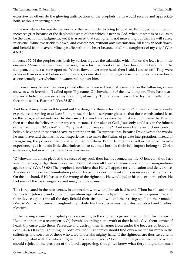excessive, as others do the glowing anticipations of the prophets; faith would receive and appreciate both, without criticizing either.

In the next stanza he repeats the words of the last in order to bring Jehovah in. Faith does not hinder but increases grief because of the deplorable state of that which is near to God, when its state is so evil as to be the object of His judgments; yet it is assured that such grief is not unavailing but that He will surely intervene. "Mine eye trickleth down, and ceaseth not, without any intermission, till Jehovah look down, and behold from heaven. Mine eye affecteth mine heart because of all the daughters of my city." (Ver. 49-51.)

In verses 52-54 the prophet sets forth by various figures the calamities which fall on the Jews from their enemies. "Mine enemies chased me sore, like a bird, without cause. They have cut off my life in the dungeon, and cast a stone upon me. Waters flowed over mine head; then I said, I am cut off." They were no more than as a bird before skilful fowlers, as one shut up in dungeons secured by a stone overhead, as one actually overwhelmed in waters rolling over him.

But prayer may be and has been proved effectual even in their distresses; and so the following verses show as with Jeremiah. "I called upon Thy name, O Jehovah, out of the low dungeon. Thou hast heard my voice: hide not thine ear at my breathing, at my cry. Thou drewest near in the day that I called upon thee; thou saidst, Fear not." (Ver. 55-57.)

And here it may be as well to point out the danger of those who cite Psalm 22: 1, as an ordinary saint's experience, despising or at least failing to use the lesson scripture gives us, that those words suited Jesus on the cross, and certainly no Christian since. He was thus forsaken then that we might never be. It is not then true that the believer under any circumstance is forsaken of God. Jesus only could say in the fulness of the truth, both "My God" and "Why hast thou forsaken me?" And even He never did nor could, I believe, have said these words save as atoning for sin. To suppose that, because David wrote the words, he must have said them as his own experience, is to make the Psalms of private interpretation, instead of recognizing the power of the Spirit who inspired them. Psalm 16 might as well or better be David's experience; yet it needs little discrimination to see that both in their full import belong to Christ exclusively, but in wholly different circumstances.

"O Jehovah, thou hast pleaded the causes of my soul; thou hast redeemed my life. O Jehovah, thou hast seen my wrong; judge thou my cause. Thou hast seen all their vengeance and all their imaginations against me." (Ver. 58 60.) The prophet is confident that He will appear for vindication and deliverance. The deep and deserved humiliation put on His people does not weaken his assurance or stifle his cry. On the one hand, if He has seen the wrong of the righteous, He would judge his cause; on the other, He had seen all the foe's vengeance and imaginations against him.

This is repeated in the next verses, in connection with what Jehovah had heard. "Thou hast heard their reproach, O Jehovah, and all their imaginations against me: the lips of those that rose up against me, and their device against me all the day. Behold their sitting down, and their rising up; I am their music." (Ver. 61-63.) At all times throughout their daily life his sorrow was their desired object and liveliest pleasure.

In the closing strain the prophet prays according to the righteous government of God for the earth. "Render unto them a recompense, O Jehovah! according to the work of their hands. Give them sorrow of heart, thy curse unto them. Persecute and destroy them in anger from under the heavens of Jehovah." (Ver. 64-66.) It is no light thing in God's eye that His enemies should find only a matter for mirth in the sufferings and sorrows of those who were under His mighty hand. If the righteous are thus saved with difficulty, what will it be when judgment falls on the ungodly? Even under the gospel we may love and should rejoice in the prospect of the Lord's appearing, though we know what fiery indignation must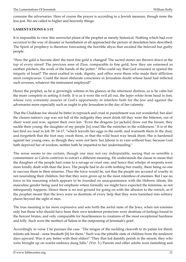consume the adversaries. Here of course the prayer is according to a Jewish measure, though none the less just. We are called to higher and heavenly things.

#### **LAMENTATIONS 4: 1-11**

It is impossible to view this sorrowful plaint of the prophet as merely historical. Nothing which had ever occurred in the way of disaster or humiliation at all approached the picture of desolation here described. The Spirit of prophecy is therefore forecasting the horrible abyss that awaited the beloved but guilty people.

"How the gold is become dim! the most fine gold is changed! The sacred stones are thrown down at the top of every street! The precious sons of Zion, comparable to fine gold, how they are esteemed as earthen pitchers, the work of the hands of the potter." Who could say that God screened or spared the iniquity of Israel? The most exalted in rank, dignity, and office were those who made their affliction most conspicuous. Could the most obdurate conscience in Jerusalem doubt whose hand had inflicted such reverses, whatever the instrument employed?

Hence the prophet, as he is growingly solemn in his glances at the uttermost distress, so is he calm but the more complete in setting it forth. It is as it were the evil all out, the leper white from head to feet, whose very extremity assures of God's opportunity to interfere both for the Jew and against the adversaries more especially such as ought to pity Jerusalem in the day of her calamity.

That the Chaldean foe should be bitter in reproach and cruel in punishment was not wonderful; but alas! the chosen nation's cup was not full of the indignity they must drink till they were the bitterest, out of sheer want and woe, against their own kin. "Even the dragons [or jackals] draw out the breast, they suckle their young: the daughter of my people [is] cruel like the ostriches in the wilderness." It is of the last bird we read in Job 39: 14-17, "which leaveth her eggs in the earth, and warmeth them in the dust, and forgetteth that the foot may crush them, or that the wild beast way break them. She is hardened against her young ones, as though they were not hers: her labour is in vain without fear; because God hath deprived her of wisdom, neither hath he imparted to her understanding."

The sense seems to me certain, though one may not say indisputable, seeing that so sensible a commentator as Calvin contrives to extract a different meaning. He understands the clause to mean that the daughter of the people had come to a savage or cruel one; and hence that whelps of serpents were more kindly dealt with than the Jews. The people had to do with nothing but cruelty, there being no one to succour them in their miseries. Thus the force would be, not that the people are accused of cruelty in not nourishing their children, but that they were given up to the most relentless of enemies. But I see no force in his reasoning which appears to be founded on unacquaintance with the Hebrew idiom, the masculine gender being used for emphasis where formally we might have expected the feminine, as not infrequently happens. Hence there is no real ground for going on with the allusion to the ostrich, as if the prophet meant that the Jews were so destitute of every help that they were banished into solitary places beyond the sight of men.

The true meaning is far more expressive and sets forth the awful state of the Jews, when not enemies only but those who should have been their own tenderest protectors were destitute of feelings found in the fiercest brutes, and only comparable for heartlessness to creatures of the most exceptional hardness and folly. Such were the mothers of Salem in the outpouring of Jeremiah's grief.

Accordingly in verse 1 he pursues the case. "The tongue of the suckling cleaveth to its palate for thirst; infants ask bread - none breaketh [it] for them." Such was the pitiable state of children from the tenderest days upward. Was it any better with their elders? "They that fed daintily perish in the streets; they who were brought up on scarlet embrace dung hills." (Ver. 5.) Parents and other adults were famishing and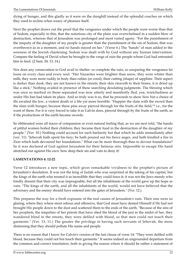dying of hunger, and this gladly as it were on the dunghill instead of the splendid couches on which they used to recline when weary of pleasure itself.

Next the prophet draws out the proof that the vengeance under which the people were worse than that of Sodom, especially in this, that the notorious city of the plain was overwhelmed in a sudden blow of destruction, whereas that of Jerusalem was prolonged and most varied agony. "For the punishment of the iniquity of the daughter of my people is greater than the punishment of the sin of Sodom, that was overthrown as in a moment, and no hands stayed on her." (Verse 6.) The "hands" of man added to the soreness of the Jewish chastening: Sodom was dealt with by God without any human intervention. Compare the feeling of David when he brought to the verge of ruin the people whom God had entrusted him to feed. (2 Sam. 24: 13, 14.)

Nor does any consecration to God avail to shelter: so complete the ruin, so unsparing the vengeance let loose on every class and every soul. "Her Nazarites were brighter than snow, they were whiter than milk; they were more ruddy in body than rubies (or coral), their cutting (shape) of sapphire. Their aspect is darker than dusk, they are not known in the streets; their skin cleaveth to their bones, it is dried up like a stick." Nothing availed in presence of these searching desolating judgments. The blessing which was once so marked on those separated was now utterly and manifestly fled, yea, wretchedness as under His ban had taken its place. And so truly was it so, that he proceeds to show how but a choice of ills awaited the Jew, a violent death or a life yet more horrible. "Happier the slain with the sword than the slain with hunger; because these pine away pierced through for the fruits of the field,"\* i.e., for the want of them. For it is very forced to take it as Calvin does, pierced through by the fruits of the earth, as if the productions of the earth became swords.

So obliterated were all traces of compassion or even natural feeling that, as we are next told, "the hands of pitiful women boiled their children; they became their food in the destruction of the daughter of my people." (Ver. 10.) Nothing could account for such barbarity but that which he adds immediately after (ver. 11): "Jehovah hath spent his fury; be hath poured out his fierce anger, and hath kindled a fire in Zion which hath devoured her foundations." What can be more thorough than to devour foundations? So it was declared of God against Jerusalem for their heinous sins. Impossible to escape His hand stretched out against His own: how deep their sin and vain to deny it!

#### **LAMENTATIONS 4: 12-22**

Verse 12 introduces a new topic, which gives remarkable vividness to the prophet's picture of Jerusalem's desolation. It was not the king of Judah who was surprised at the taking of his capital, but the kings of the earth who treated it as incredible that they could force it; it was not the Jews merely who fondly dreamt that their city was impregnable, but all the inhabitants of the world gave up the hope as vain. "The kings of the earth, and all the inhabitants of the world, would not have believed that the adversary and the enemy should have entered into the gates of Jerusalem." (Ver. 12.)

This prepares the way for a fresh exposure of the real causes of Jerusalem's ruin. Their sins were so glaring, where they where most odious and offensive, that God must have denied Himself if He had not brought His people down to the dust and scattered them to the ends of the earth. "Because of the sins of her prophets, the iniquities of her priests that have shed the blood of the just in the midst of her, they wandered blind in the streets, they were defiled with blood, so that men could not touch their garments." (Ver. 13, 11.) The greater the privilege in having such servants of Jehovah, the more distressing that they should pollute His name and people.

There is no reason that I know for Calvin's version of the last clause of verse 14: "They were defiled with blood, because they could not but touch their garments." It seems indeed an ungrounded departure from the common and correct translation, both in giving the reason where it should be rather a statement of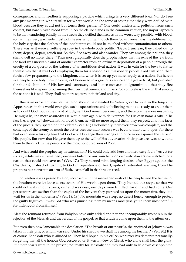consequence, and in needlessly supposing a particle which brings in a very different idea. Nor do I see any just meaning in what results; for where would be the force of saying that they were defiled with blood because they could not but touch their garments? One could understand pollution from such contact, but hardly with blood from it. As the clause stands in the common version, the import appears to be that wandering blindly in the streets they defiled themselves in the worst way possible, with blood, so that their very garments must pollute any who might touch them. So universal was the defilement of the holy city that the clothes of the inhabitants could not be touched without contamination to others. There was as it were a fretting leprosy in the whole body politic. "Depart, unclean, they called out to them; depart, depart, touch not. So they flee away and also wander. They say among the nations, they shall dwell no more [there]." Thus most graphically does the prophet show that the exile of the Jew from the land was inevitable and of another character from an ordinary deportation of a people through the cruelty of a conqueror or the jealousy of an ambitious rival nation. It was in vain for the Jews to flatter themselves that it was God employing them for a season as a missionary people: God will send them forth; a few preparatorily to the kingdom, and when it is set up yet more largely as a nation. But here it is a people once holy, now profane, not honoured in a gracious service and a grave trust, but punished for their dishonour of His law and sanctuary, and hence outcasts so ignominious that they flee themselves like lepers, proclaiming their own defilement and misery. So complete is the ruin that among the nations it is said, They shall no more sojourn in their land and city.

But this is an error. Impossible that God should be defeated by Satan, good by evil, in the long run. Appearances in this world ever give such expectations; and unbelieving man is as ready to credit them as to doubt God. But in the midst of judgment God remembers mercy; and therefore the more unsparing He might be, the more assuredly He would turn again with deliverance for His own name's sake. "The face [i.e. anger] of Jehovah hath divided them, he will no more regard them: they respected not the faces of the priests, they spared not the elders." (Ver. 16.) Undoubtedly their overthrow was complete, and the contempt of the enemy so much the better because their success was beyond their own hopes; for there had ever been a lurking fear that God would avenge their wrongs and once more espouse the cause of His people. But now that He gave them up to the will of His adversaries, their pleasure, was to wound them to the quick in the persons of the most honoured sons of Zion.

And what could the prophet say in extenuation? He could only add here another heavy fault: "As yet for us [i.e., while we yet remained], our eyes failed for our vain help; on our watchtowers we watched for a nation that could not save us." (Ver. 17.) They turned with longing desires after Egypt against the Chaldeans, instead of turning to God in repentance of heart, spite of reiterated warning from His prophets not to trust in an arm of flesh, least of all in that broken reed.

But no: sentence was passed by God, incensed with the unwearied evils of His people; and the fiercest of the heathen were let loose as executors of His wrath upon them. "They hunted our steps, so that we could not walk in our streets; our end was near, our days were fulfilled, for our end had come. Our persecutors are swifter than the eagles of the heaven: they pursued us upon the mountains, they laid wait for us in the wilderness." (Ver. 18, 19.) No mountain was steep, no desert lonely, enough to protect the guilty fugitives. It was God who was punishing them by means most just, yet to them most painful, for their revolt from Himself.

Alas! the remnant returned from Babylon have only added another and incomparably worse sin in the rejection of the Messiah and the refusal of the gospel, so that wrath is come upon them to the uttermost.

But even then how lamentable the desolation! "The breath of our nostrils, the anointed of Jehovah, was taken in their pits, of whom was said, Under his shadow we shall live among the heathen." (Ver. 20.) It is of course Zedekiah who is alluded to. They had hoped in his office, whatever his demerits personally, forgetting that all the honour God bestowed on it was in view of Christ, who alone shall bear the glory. But their hearts were in the present, not really for Messiah; and they had only to lie down disappointed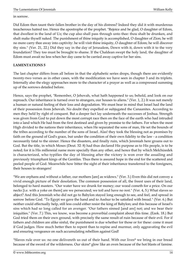in sorrow.

Did Edom then taunt their fallen brother in the day of his distress? Indeed they did it with murderous treacherous hatred too. Hence the apostrophe of the prophet. "Rejoice and be glad, O daughter of Edom, that dwellest in the land of Uz; the cup also shall pass through unto thee: thou shalt be drunken, and shalt make thyself naked. The punishment of thine iniquity is accomplished, O daughter of Zion; he will no more carry thee away into captivity: he will visit thine iniquity, O daughter of Edom; he will discover thy sins." (Ver. 21, 22.) Did they say in the day of Jerusalem, Down with it, down with it to the very foundation? They too must be brought to shame. If the Chaldean swept the holy land, the daughter of Edom must await no less when her day came to be carried away captive for her sins.

#### **LAMENTATIONS 5**

The last chapter differs from all before in that the alphabetic series drops, though there are evidently twenty-two verses as in other cases, with the modification we have seen in chapter 3 and its triplets. Internally also the elegy approaches more to the character of a prayer as well as a compressed summing up of the sorrows detailed before.

Hence, says the prophet, "Remember, O Jehovah, what hath happened to us; behold, and look on our reproach. Our inheritance is turned over to strangers, our houses to aliens." (Ver. 1, 2.) It was not merely a human or natural feeling of their loss and degradation. We must bear in mind that Israel had the land of their possession from Jehovah. No doubt they expelled or subjugated the Canaanites. According to men they held by right of conquest. But a deeper fact lay underneath the successes of Joshua. Strength was given from God to put down the most corrupt race then on the face of the earth who had intruded into a land which He had from the first destined and given by promise to the fathers. For when the most High divided to the nations their inheritance, when He separated the sons of man, He set the bounds of the tribes according to the number of the sons of Israel. Alas! they took the blessing not as promises by faith on the ground of God's grace, but under the condition of their own fidelity to the law - a condition necessarily fatal to the sinner. Hence the disasters, and finally ruin, which Jeremiah here groans out to God. But the title, in which Moses (Deut. 32: 8) had thus declared His purpose as to His people, is to be noted; for it is His millennial name more specially than any other, and hence that by which Melchizedek is characterized, who typifies the day of blessing after the victory is won over the assailing and previously triumphant kings of the Gentiles. Thus there is assured hope in the end for the scattered and peeled people of God. Meanwhile how bitter the sight of their inheritance transferred to the foreigners, their houses to strangers!

"We are orphans and without a father, our mothers [are] as widows." (Ver. 3.) Even this did not convey a vivid enough picture of their desolation. The common possession of all, the freest uses of their land, belonged to hard masters. "Our water have we drunk for money; our wood cometh for a price. On our necks [i.e. with a yoke on them] are we persecuted; we toil and have no rest." (Ver. 4, 5.) What slaves so abject? And this Jeremiah who did not go to Babylon stayed long enough to see, and feel, and spread in sorrow before God. "To Egypt we gave the hand and to Asshur to be satisfied with bread." (Ver. 6.) But neither could effectually help, still less could either resist the king of Babylon; and this because of Israel's sins which had so long called for an avenger. "Our fathers sinned [and are] not; and we bear their iniquities." (Ver. 7.) This, we know, was become a proverbial complaint about this time. (Ezek. 18.) But God tried them on their own ground, with precisely the same result of ruin because of their evil. For if fathers and children are alike sinful, the punishment is due whether for those or for these: come it must if God judges. How much better then to repent than to repine and murmur, only aggravating the evil and ensuring vengeance on such accumulating rebellion against God!

"Slaves rule over us: no one delivereth us out of their hand. With our lives\* we bring in our bread because of the sword of the wilderness. Our skins\* glow like an oven because of the hot blasts of famine.